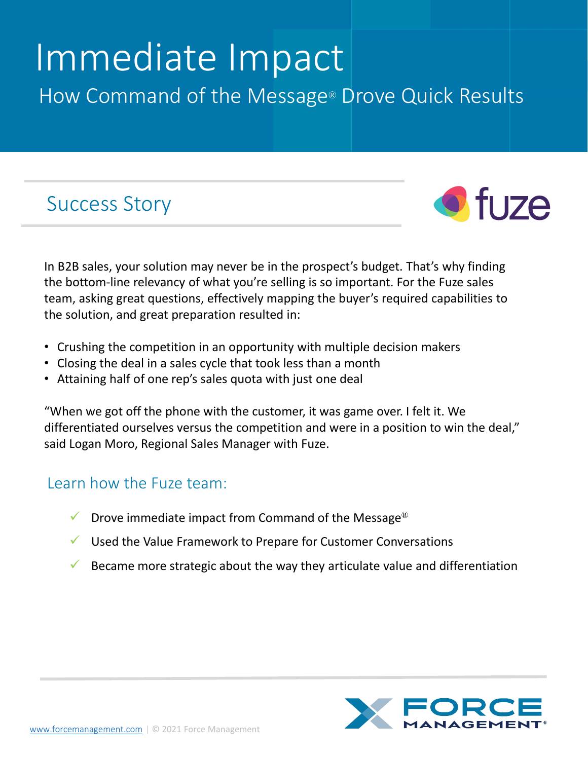# Immediate Impact How Command of the Message® Drove Quick Results

## Success Story



In B2B sales, your solution may never be in the prospect's budget. That's why finding the bottom-line relevancy of what you're selling is so important. For the Fuze sales team, asking great questions, effectively mapping the buyer's required capabilities to the solution, and great preparation resulted in:

- Crushing the competition in an opportunity with multiple decision makers
- Closing the deal in a sales cycle that took less than a month
- Attaining half of one rep's sales quota with just one deal

"When we got off the phone with the customer, it was game over. I felt it. We differentiated ourselves versus the competition and were in a position to win the deal," said Logan Moro, Regional Sales Manager with Fuze.

### Learn how the Fuze team:

- $\checkmark$  Drove immediate impact from Command of the Message®
- $\checkmark$  Used the Value Framework to Prepare for Customer Conversations
- Became more strategic about the way they articulate value and differentiation